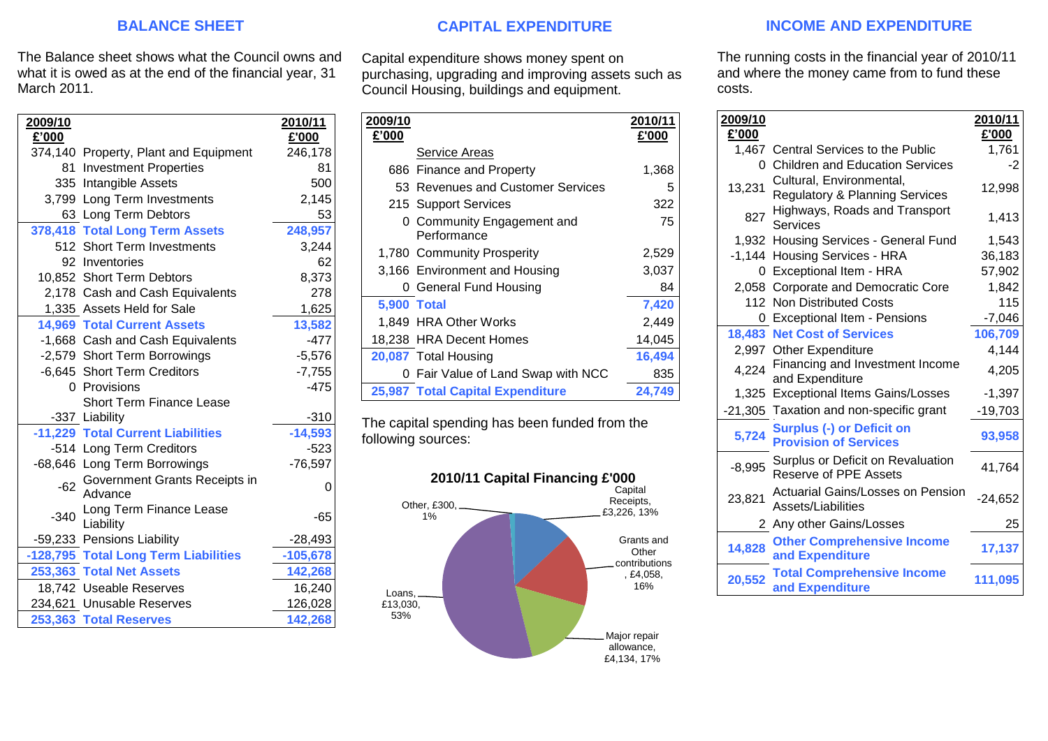## **BALANCE SHEET**

The Balance sheet shows what the Council owns and what it is owed as at the end of the financial year, 31 March 2011.

| 2009/10 |                                          | 2010/11    |
|---------|------------------------------------------|------------|
| £'000   |                                          | £'000      |
|         | 374,140 Property, Plant and Equipment    | 246,178    |
|         | 81 Investment Properties                 | 81         |
|         | 335 Intangible Assets                    | 500        |
|         | 3,799 Long Term Investments              | 2,145      |
|         | 63 Long Term Debtors                     | 53         |
|         | 378,418 Total Long Term Assets           | 248,957    |
|         | 512 Short Term Investments               | 3,244      |
|         | 92 Inventories                           | 62         |
|         | 10,852 Short Term Debtors                | 8,373      |
|         | 2,178 Cash and Cash Equivalents          | 278        |
|         | 1,335 Assets Held for Sale               | 1,625      |
|         | <b>14,969 Total Current Assets</b>       | 13,582     |
|         | -1,668 Cash and Cash Equivalents         | $-477$     |
|         | -2,579 Short Term Borrowings             | $-5,576$   |
|         | -6,645 Short Term Creditors              | $-7,755$   |
|         | 0 Provisions                             | $-475$     |
|         | <b>Short Term Finance Lease</b>          |            |
|         | -337 Liability                           | $-310$     |
|         | -11,229 Total Current Liabilities        | $-14,593$  |
|         | -514 Long Term Creditors                 | $-523$     |
|         | -68,646 Long Term Borrowings             | $-76,597$  |
| $-62$   | Government Grants Receipts in<br>Advance | 0          |
| $-340$  | Long Term Finance Lease<br>Liability     | -65        |
|         | -59,233 Pensions Liability               | $-28,493$  |
|         | -128,795 Total Long Term Liabilities     | $-105,678$ |
|         | 253,363 Total Net Assets                 | 142,268    |
|         | 18,742 Useable Reserves                  | 16,240     |
|         | 234,621 Unusable Reserves                | 126,028    |
|         | 253,363 Total Reserves                   | 142,268    |

# **CAPITAL EXPENDITURE**

Capital expenditure shows money spent on purchasing, upgrading and improving assets such as Council Housing, buildings and equipment.

| 2009/10            |                                           | 2010/11 |
|--------------------|-------------------------------------------|---------|
| £'000              |                                           | £'000   |
|                    | Service Areas                             |         |
|                    | 686 Finance and Property                  | 1,368   |
|                    | 53 Revenues and Customer Services         | 5       |
|                    | 215 Support Services                      | 322     |
|                    | 0 Community Engagement and<br>Performance | 75      |
|                    | 1,780 Community Prosperity                | 2,529   |
|                    |                                           |         |
|                    | 3,166 Environment and Housing             | 3,037   |
|                    | 0 General Fund Housing                    | 84      |
| <b>5,900 Total</b> |                                           | 7,420   |
|                    | 1,849 HRA Other Works                     | 2,449   |
|                    | 18,238 HRA Decent Homes                   | 14,045  |
|                    | 20,087 Total Housing                      | 16,494  |
|                    | 0 Fair Value of Land Swap with NCC        | 835     |
|                    | 25,987 Total Capital Expenditure          | 24.749  |

The capital spending has been funded from the following sources:



## **INCOME AND EXPENDITURE**

The running costs in the financial year of 2010/11 and where the money came from to fund these costs.

| 2009/10  |                                                                       | 2010/11   |
|----------|-----------------------------------------------------------------------|-----------|
| £'000    |                                                                       | £'000     |
|          | 1,467 Central Services to the Public                                  | 1,761     |
| 0.       | <b>Children and Education Services</b>                                | $-2$      |
| 13,231   | Cultural, Environmental,<br><b>Regulatory &amp; Planning Services</b> | 12,998    |
| 827      | Highways, Roads and Transport<br>Services                             | 1,413     |
|          | 1,932 Housing Services - General Fund                                 | 1,543     |
| $-1,144$ | <b>Housing Services - HRA</b>                                         | 36,183    |
| 0        | Exceptional Item - HRA                                                | 57,902    |
| 2.058    | <b>Corporate and Democratic Core</b>                                  | 1,842     |
| 112      | <b>Non Distributed Costs</b>                                          | 115       |
| 0        | <b>Exceptional Item - Pensions</b>                                    | $-7,046$  |
| 18,483   | <b>Net Cost of Services</b>                                           | 106,709   |
|          | 2,997 Other Expenditure                                               | 4,144     |
| 4,224    | Financing and Investment Income<br>and Expenditure                    | 4,205     |
|          | 1,325 Exceptional Items Gains/Losses                                  | $-1,397$  |
|          | -21,305 Taxation and non-specific grant                               | $-19,703$ |
| 5,724    | <b>Surplus (-) or Deficit on</b><br><b>Provision of Services</b>      | 93,958    |
| $-8,995$ | Surplus or Deficit on Revaluation<br><b>Reserve of PPE Assets</b>     | 41,764    |
| 23,821   | <b>Actuarial Gains/Losses on Pension</b><br>Assets/Liabilities        | $-24,652$ |
|          | 2 Any other Gains/Losses                                              | 25        |
| 14,828   | <b>Other Comprehensive Income</b><br>and Expenditure                  | 17,137    |
| 20,552   | <b>Total Comprehensive Income</b><br>and Expenditure                  | 111,095   |